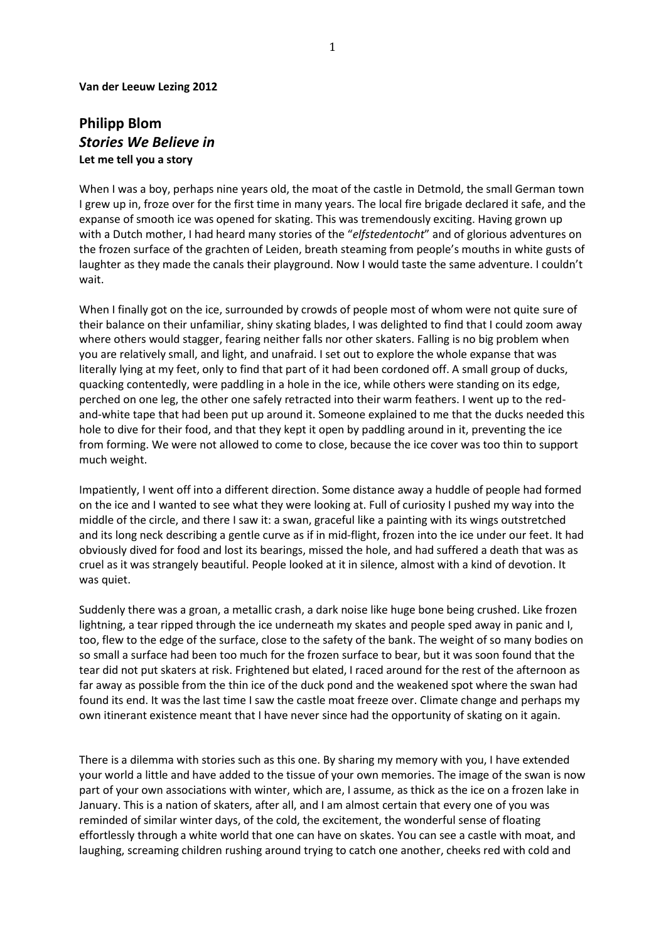#### **Van der Leeuw Lezing 2012**

# **Philipp Blom** *Stories We Believe in*  **Let me tell you a story**

When I was a boy, perhaps nine years old, the moat of the castle in Detmold, the small German town I grew up in, froze over for the first time in many years. The local fire brigade declared it safe, and the expanse of smooth ice was opened for skating. This was tremendously exciting. Having grown up with a Dutch mother, I had heard many stories of the "*elfstedentocht*" and of glorious adventures on the frozen surface of the grachten of Leiden, breath steaming from people's mouths in white gusts of laughter as they made the canals their playground. Now I would taste the same adventure. I couldn't wait.

When I finally got on the ice, surrounded by crowds of people most of whom were not quite sure of their balance on their unfamiliar, shiny skating blades, I was delighted to find that I could zoom away where others would stagger, fearing neither falls nor other skaters. Falling is no big problem when you are relatively small, and light, and unafraid. I set out to explore the whole expanse that was literally lying at my feet, only to find that part of it had been cordoned off. A small group of ducks, quacking contentedly, were paddling in a hole in the ice, while others were standing on its edge, perched on one leg, the other one safely retracted into their warm feathers. I went up to the redand-white tape that had been put up around it. Someone explained to me that the ducks needed this hole to dive for their food, and that they kept it open by paddling around in it, preventing the ice from forming. We were not allowed to come to close, because the ice cover was too thin to support much weight.

Impatiently, I went off into a different direction. Some distance away a huddle of people had formed on the ice and I wanted to see what they were looking at. Full of curiosity I pushed my way into the middle of the circle, and there I saw it: a swan, graceful like a painting with its wings outstretched and its long neck describing a gentle curve as if in mid-flight, frozen into the ice under our feet. It had obviously dived for food and lost its bearings, missed the hole, and had suffered a death that was as cruel as it was strangely beautiful. People looked at it in silence, almost with a kind of devotion. It was quiet.

Suddenly there was a groan, a metallic crash, a dark noise like huge bone being crushed. Like frozen lightning, a tear ripped through the ice underneath my skates and people sped away in panic and I, too, flew to the edge of the surface, close to the safety of the bank. The weight of so many bodies on so small a surface had been too much for the frozen surface to bear, but it was soon found that the tear did not put skaters at risk. Frightened but elated, I raced around for the rest of the afternoon as far away as possible from the thin ice of the duck pond and the weakened spot where the swan had found its end. It was the last time I saw the castle moat freeze over. Climate change and perhaps my own itinerant existence meant that I have never since had the opportunity of skating on it again.

There is a dilemma with stories such as this one. By sharing my memory with you, I have extended your world a little and have added to the tissue of your own memories. The image of the swan is now part of your own associations with winter, which are, I assume, as thick as the ice on a frozen lake in January. This is a nation of skaters, after all, and I am almost certain that every one of you was reminded of similar winter days, of the cold, the excitement, the wonderful sense of floating effortlessly through a white world that one can have on skates. You can see a castle with moat, and laughing, screaming children rushing around trying to catch one another, cheeks red with cold and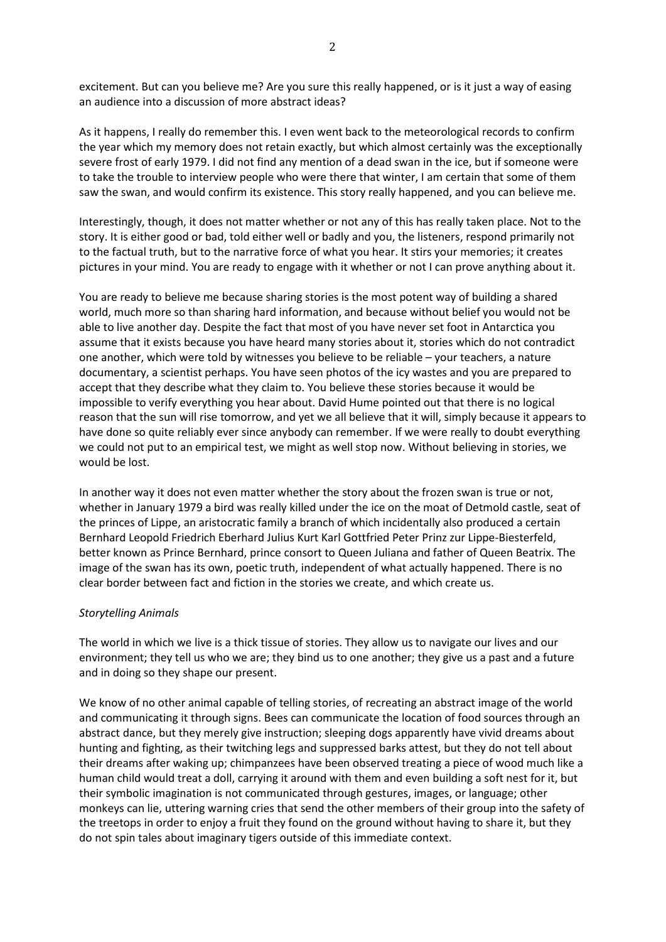excitement. But can you believe me? Are you sure this really happened, or is it just a way of easing an audience into a discussion of more abstract ideas?

As it happens, I really do remember this. I even went back to the meteorological records to confirm the year which my memory does not retain exactly, but which almost certainly was the exceptionally severe frost of early 1979. I did not find any mention of a dead swan in the ice, but if someone were to take the trouble to interview people who were there that winter, I am certain that some of them saw the swan, and would confirm its existence. This story really happened, and you can believe me.

Interestingly, though, it does not matter whether or not any of this has really taken place. Not to the story. It is either good or bad, told either well or badly and you, the listeners, respond primarily not to the factual truth, but to the narrative force of what you hear. It stirs your memories; it creates pictures in your mind. You are ready to engage with it whether or not I can prove anything about it.

You are ready to believe me because sharing stories is the most potent way of building a shared world, much more so than sharing hard information, and because without belief you would not be able to live another day. Despite the fact that most of you have never set foot in Antarctica you assume that it exists because you have heard many stories about it, stories which do not contradict one another, which were told by witnesses you believe to be reliable – your teachers, a nature documentary, a scientist perhaps. You have seen photos of the icy wastes and you are prepared to accept that they describe what they claim to. You believe these stories because it would be impossible to verify everything you hear about. David Hume pointed out that there is no logical reason that the sun will rise tomorrow, and yet we all believe that it will, simply because it appears to have done so quite reliably ever since anybody can remember. If we were really to doubt everything we could not put to an empirical test, we might as well stop now. Without believing in stories, we would be lost.

In another way it does not even matter whether the story about the frozen swan is true or not, whether in January 1979 a bird was really killed under the ice on the moat of Detmold castle, seat of the princes of Lippe, an aristocratic family a branch of which incidentally also produced a certain Bernhard Leopold Friedrich Eberhard Julius Kurt Karl Gottfried Peter Prinz zur Lippe-Biesterfeld, better known as Prince Bernhard, prince consort to Queen Juliana and father of Queen Beatrix. The image of the swan has its own, poetic truth, independent of what actually happened. There is no clear border between fact and fiction in the stories we create, and which create us.

# *Storytelling Animals*

The world in which we live is a thick tissue of stories. They allow us to navigate our lives and our environment; they tell us who we are; they bind us to one another; they give us a past and a future and in doing so they shape our present.

We know of no other animal capable of telling stories, of recreating an abstract image of the world and communicating it through signs. Bees can communicate the location of food sources through an abstract dance, but they merely give instruction; sleeping dogs apparently have vivid dreams about hunting and fighting, as their twitching legs and suppressed barks attest, but they do not tell about their dreams after waking up; chimpanzees have been observed treating a piece of wood much like a human child would treat a doll, carrying it around with them and even building a soft nest for it, but their symbolic imagination is not communicated through gestures, images, or language; other monkeys can lie, uttering warning cries that send the other members of their group into the safety of the treetops in order to enjoy a fruit they found on the ground without having to share it, but they do not spin tales about imaginary tigers outside of this immediate context.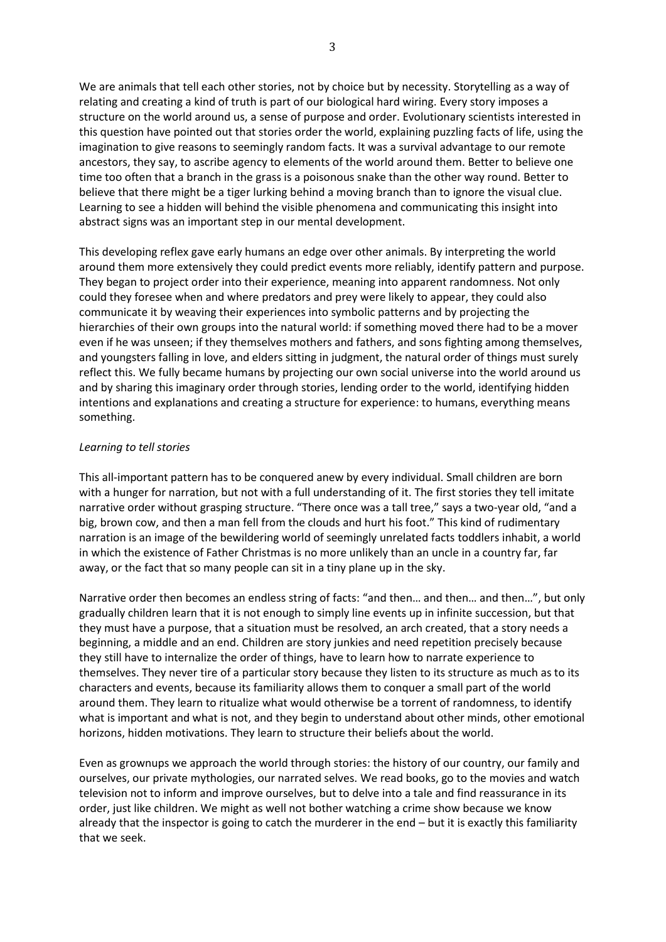We are animals that tell each other stories, not by choice but by necessity. Storytelling as a way of relating and creating a kind of truth is part of our biological hard wiring. Every story imposes a structure on the world around us, a sense of purpose and order. Evolutionary scientists interested in this question have pointed out that stories order the world, explaining puzzling facts of life, using the imagination to give reasons to seemingly random facts. It was a survival advantage to our remote ancestors, they say, to ascribe agency to elements of the world around them. Better to believe one time too often that a branch in the grass is a poisonous snake than the other way round. Better to believe that there might be a tiger lurking behind a moving branch than to ignore the visual clue. Learning to see a hidden will behind the visible phenomena and communicating this insight into abstract signs was an important step in our mental development.

This developing reflex gave early humans an edge over other animals. By interpreting the world around them more extensively they could predict events more reliably, identify pattern and purpose. They began to project order into their experience, meaning into apparent randomness. Not only could they foresee when and where predators and prey were likely to appear, they could also communicate it by weaving their experiences into symbolic patterns and by projecting the hierarchies of their own groups into the natural world: if something moved there had to be a mover even if he was unseen; if they themselves mothers and fathers, and sons fighting among themselves, and youngsters falling in love, and elders sitting in judgment, the natural order of things must surely reflect this. We fully became humans by projecting our own social universe into the world around us and by sharing this imaginary order through stories, lending order to the world, identifying hidden intentions and explanations and creating a structure for experience: to humans, everything means something.

#### *Learning to tell stories*

This all-important pattern has to be conquered anew by every individual. Small children are born with a hunger for narration, but not with a full understanding of it. The first stories they tell imitate narrative order without grasping structure. "There once was a tall tree," says a two-year old, "and a big, brown cow, and then a man fell from the clouds and hurt his foot." This kind of rudimentary narration is an image of the bewildering world of seemingly unrelated facts toddlers inhabit, a world in which the existence of Father Christmas is no more unlikely than an uncle in a country far, far away, or the fact that so many people can sit in a tiny plane up in the sky.

Narrative order then becomes an endless string of facts: "and then… and then… and then…", but only gradually children learn that it is not enough to simply line events up in infinite succession, but that they must have a purpose, that a situation must be resolved, an arch created, that a story needs a beginning, a middle and an end. Children are story junkies and need repetition precisely because they still have to internalize the order of things, have to learn how to narrate experience to themselves. They never tire of a particular story because they listen to its structure as much as to its characters and events, because its familiarity allows them to conquer a small part of the world around them. They learn to ritualize what would otherwise be a torrent of randomness, to identify what is important and what is not, and they begin to understand about other minds, other emotional horizons, hidden motivations. They learn to structure their beliefs about the world.

Even as grownups we approach the world through stories: the history of our country, our family and ourselves, our private mythologies, our narrated selves. We read books, go to the movies and watch television not to inform and improve ourselves, but to delve into a tale and find reassurance in its order, just like children. We might as well not bother watching a crime show because we know already that the inspector is going to catch the murderer in the end – but it is exactly this familiarity that we seek.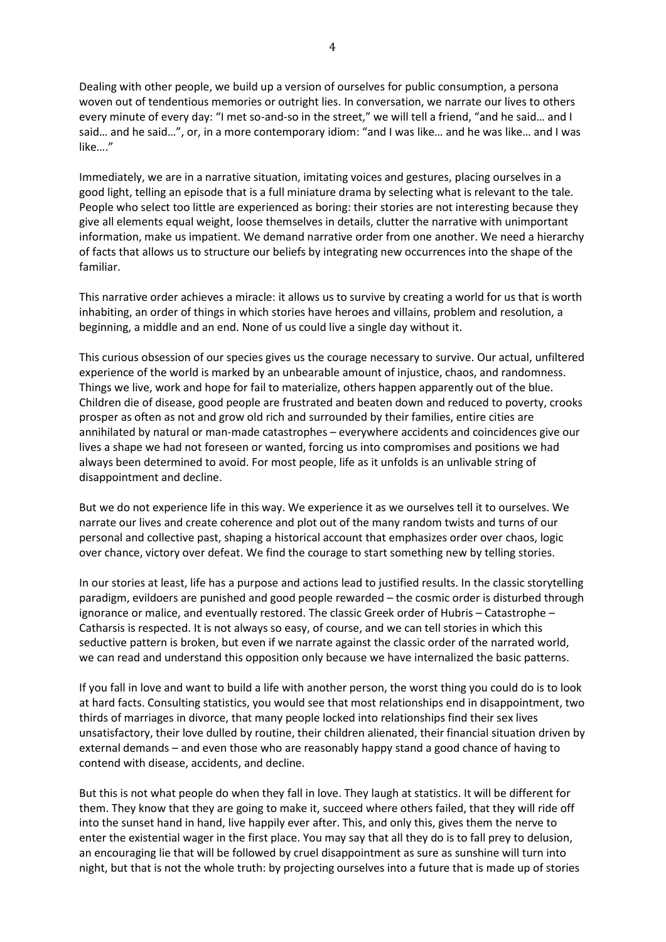Dealing with other people, we build up a version of ourselves for public consumption, a persona woven out of tendentious memories or outright lies. In conversation, we narrate our lives to others every minute of every day: "I met so-and-so in the street," we will tell a friend, "and he said… and I said… and he said…", or, in a more contemporary idiom: "and I was like… and he was like… and I was like…."

Immediately, we are in a narrative situation, imitating voices and gestures, placing ourselves in a good light, telling an episode that is a full miniature drama by selecting what is relevant to the tale. People who select too little are experienced as boring: their stories are not interesting because they give all elements equal weight, loose themselves in details, clutter the narrative with unimportant information, make us impatient. We demand narrative order from one another. We need a hierarchy of facts that allows us to structure our beliefs by integrating new occurrences into the shape of the familiar.

This narrative order achieves a miracle: it allows us to survive by creating a world for us that is worth inhabiting, an order of things in which stories have heroes and villains, problem and resolution, a beginning, a middle and an end. None of us could live a single day without it.

This curious obsession of our species gives us the courage necessary to survive. Our actual, unfiltered experience of the world is marked by an unbearable amount of injustice, chaos, and randomness. Things we live, work and hope for fail to materialize, others happen apparently out of the blue. Children die of disease, good people are frustrated and beaten down and reduced to poverty, crooks prosper as often as not and grow old rich and surrounded by their families, entire cities are annihilated by natural or man-made catastrophes – everywhere accidents and coincidences give our lives a shape we had not foreseen or wanted, forcing us into compromises and positions we had always been determined to avoid. For most people, life as it unfolds is an unlivable string of disappointment and decline.

But we do not experience life in this way. We experience it as we ourselves tell it to ourselves. We narrate our lives and create coherence and plot out of the many random twists and turns of our personal and collective past, shaping a historical account that emphasizes order over chaos, logic over chance, victory over defeat. We find the courage to start something new by telling stories.

In our stories at least, life has a purpose and actions lead to justified results. In the classic storytelling paradigm, evildoers are punished and good people rewarded – the cosmic order is disturbed through ignorance or malice, and eventually restored. The classic Greek order of Hubris – Catastrophe – Catharsis is respected. It is not always so easy, of course, and we can tell stories in which this seductive pattern is broken, but even if we narrate against the classic order of the narrated world, we can read and understand this opposition only because we have internalized the basic patterns.

If you fall in love and want to build a life with another person, the worst thing you could do is to look at hard facts. Consulting statistics, you would see that most relationships end in disappointment, two thirds of marriages in divorce, that many people locked into relationships find their sex lives unsatisfactory, their love dulled by routine, their children alienated, their financial situation driven by external demands – and even those who are reasonably happy stand a good chance of having to contend with disease, accidents, and decline.

But this is not what people do when they fall in love. They laugh at statistics. It will be different for them. They know that they are going to make it, succeed where others failed, that they will ride off into the sunset hand in hand, live happily ever after. This, and only this, gives them the nerve to enter the existential wager in the first place. You may say that all they do is to fall prey to delusion, an encouraging lie that will be followed by cruel disappointment as sure as sunshine will turn into night, but that is not the whole truth: by projecting ourselves into a future that is made up of stories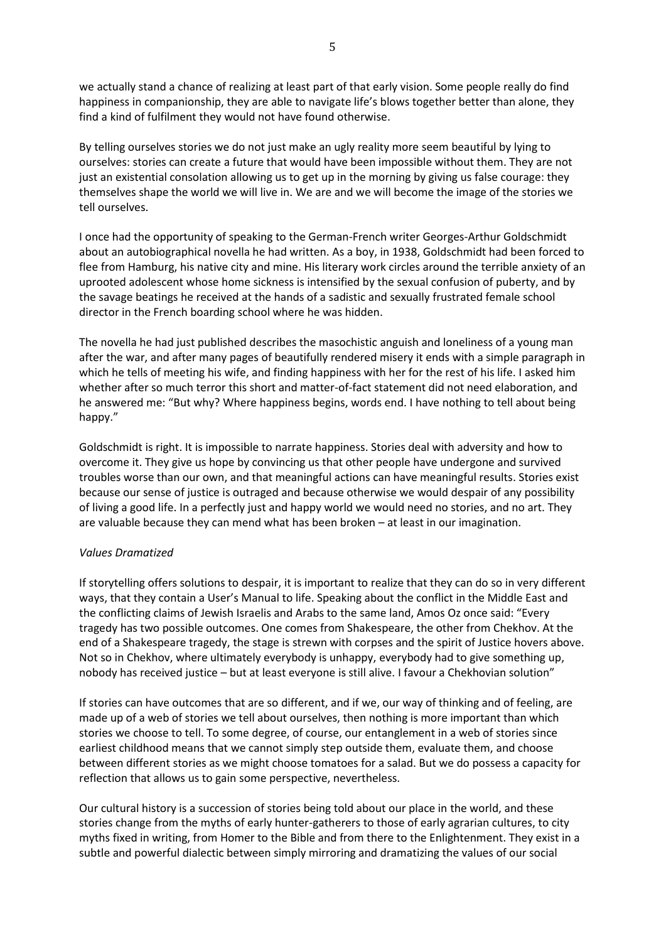we actually stand a chance of realizing at least part of that early vision. Some people really do find happiness in companionship, they are able to navigate life's blows together better than alone, they find a kind of fulfilment they would not have found otherwise.

By telling ourselves stories we do not just make an ugly reality more seem beautiful by lying to ourselves: stories can create a future that would have been impossible without them. They are not just an existential consolation allowing us to get up in the morning by giving us false courage: they themselves shape the world we will live in. We are and we will become the image of the stories we tell ourselves.

I once had the opportunity of speaking to the German-French writer Georges-Arthur Goldschmidt about an autobiographical novella he had written. As a boy, in 1938, Goldschmidt had been forced to flee from Hamburg, his native city and mine. His literary work circles around the terrible anxiety of an uprooted adolescent whose home sickness is intensified by the sexual confusion of puberty, and by the savage beatings he received at the hands of a sadistic and sexually frustrated female school director in the French boarding school where he was hidden.

The novella he had just published describes the masochistic anguish and loneliness of a young man after the war, and after many pages of beautifully rendered misery it ends with a simple paragraph in which he tells of meeting his wife, and finding happiness with her for the rest of his life. I asked him whether after so much terror this short and matter-of-fact statement did not need elaboration, and he answered me: "But why? Where happiness begins, words end. I have nothing to tell about being happy."

Goldschmidt is right. It is impossible to narrate happiness. Stories deal with adversity and how to overcome it. They give us hope by convincing us that other people have undergone and survived troubles worse than our own, and that meaningful actions can have meaningful results. Stories exist because our sense of justice is outraged and because otherwise we would despair of any possibility of living a good life. In a perfectly just and happy world we would need no stories, and no art. They are valuable because they can mend what has been broken – at least in our imagination.

# *Values Dramatized*

If storytelling offers solutions to despair, it is important to realize that they can do so in very different ways, that they contain a User's Manual to life. Speaking about the conflict in the Middle East and the conflicting claims of Jewish Israelis and Arabs to the same land, Amos Oz once said: "Every tragedy has two possible outcomes. One comes from Shakespeare, the other from Chekhov. At the end of a Shakespeare tragedy, the stage is strewn with corpses and the spirit of Justice hovers above. Not so in Chekhov, where ultimately everybody is unhappy, everybody had to give something up, nobody has received justice – but at least everyone is still alive. I favour a Chekhovian solution"

If stories can have outcomes that are so different, and if we, our way of thinking and of feeling, are made up of a web of stories we tell about ourselves, then nothing is more important than which stories we choose to tell. To some degree, of course, our entanglement in a web of stories since earliest childhood means that we cannot simply step outside them, evaluate them, and choose between different stories as we might choose tomatoes for a salad. But we do possess a capacity for reflection that allows us to gain some perspective, nevertheless.

Our cultural history is a succession of stories being told about our place in the world, and these stories change from the myths of early hunter-gatherers to those of early agrarian cultures, to city myths fixed in writing, from Homer to the Bible and from there to the Enlightenment. They exist in a subtle and powerful dialectic between simply mirroring and dramatizing the values of our social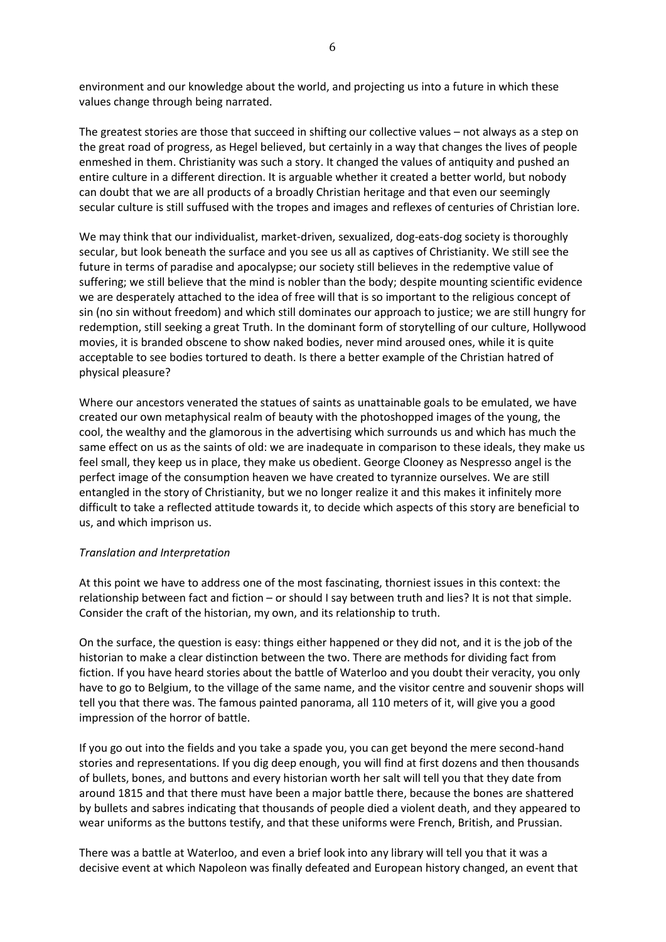environment and our knowledge about the world, and projecting us into a future in which these values change through being narrated.

The greatest stories are those that succeed in shifting our collective values – not always as a step on the great road of progress, as Hegel believed, but certainly in a way that changes the lives of people enmeshed in them. Christianity was such a story. It changed the values of antiquity and pushed an entire culture in a different direction. It is arguable whether it created a better world, but nobody can doubt that we are all products of a broadly Christian heritage and that even our seemingly secular culture is still suffused with the tropes and images and reflexes of centuries of Christian lore.

We may think that our individualist, market-driven, sexualized, dog-eats-dog society is thoroughly secular, but look beneath the surface and you see us all as captives of Christianity. We still see the future in terms of paradise and apocalypse; our society still believes in the redemptive value of suffering; we still believe that the mind is nobler than the body; despite mounting scientific evidence we are desperately attached to the idea of free will that is so important to the religious concept of sin (no sin without freedom) and which still dominates our approach to justice; we are still hungry for redemption, still seeking a great Truth. In the dominant form of storytelling of our culture, Hollywood movies, it is branded obscene to show naked bodies, never mind aroused ones, while it is quite acceptable to see bodies tortured to death. Is there a better example of the Christian hatred of physical pleasure?

Where our ancestors venerated the statues of saints as unattainable goals to be emulated, we have created our own metaphysical realm of beauty with the photoshopped images of the young, the cool, the wealthy and the glamorous in the advertising which surrounds us and which has much the same effect on us as the saints of old: we are inadequate in comparison to these ideals, they make us feel small, they keep us in place, they make us obedient. George Clooney as Nespresso angel is the perfect image of the consumption heaven we have created to tyrannize ourselves. We are still entangled in the story of Christianity, but we no longer realize it and this makes it infinitely more difficult to take a reflected attitude towards it, to decide which aspects of this story are beneficial to us, and which imprison us.

# *Translation and Interpretation*

At this point we have to address one of the most fascinating, thorniest issues in this context: the relationship between fact and fiction – or should I say between truth and lies? It is not that simple. Consider the craft of the historian, my own, and its relationship to truth.

On the surface, the question is easy: things either happened or they did not, and it is the job of the historian to make a clear distinction between the two. There are methods for dividing fact from fiction. If you have heard stories about the battle of Waterloo and you doubt their veracity, you only have to go to Belgium, to the village of the same name, and the visitor centre and souvenir shops will tell you that there was. The famous painted panorama, all 110 meters of it, will give you a good impression of the horror of battle.

If you go out into the fields and you take a spade you, you can get beyond the mere second-hand stories and representations. If you dig deep enough, you will find at first dozens and then thousands of bullets, bones, and buttons and every historian worth her salt will tell you that they date from around 1815 and that there must have been a major battle there, because the bones are shattered by bullets and sabres indicating that thousands of people died a violent death, and they appeared to wear uniforms as the buttons testify, and that these uniforms were French, British, and Prussian.

There was a battle at Waterloo, and even a brief look into any library will tell you that it was a decisive event at which Napoleon was finally defeated and European history changed, an event that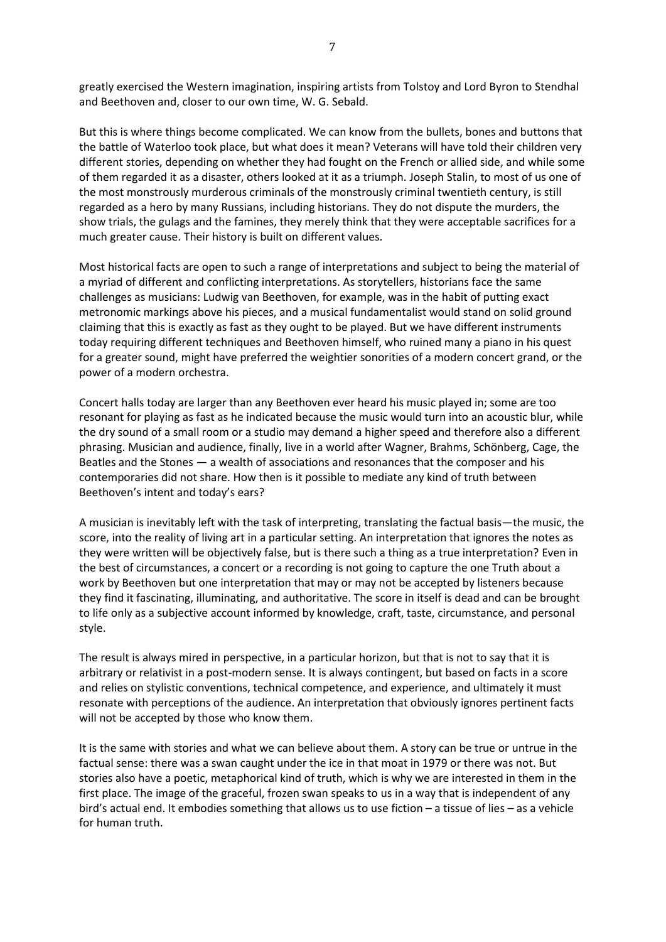greatly exercised the Western imagination, inspiring artists from Tolstoy and Lord Byron to Stendhal and Beethoven and, closer to our own time, W. G. Sebald.

But this is where things become complicated. We can know from the bullets, bones and buttons that the battle of Waterloo took place, but what does it mean? Veterans will have told their children very different stories, depending on whether they had fought on the French or allied side, and while some of them regarded it as a disaster, others looked at it as a triumph. Joseph Stalin, to most of us one of the most monstrously murderous criminals of the monstrously criminal twentieth century, is still regarded as a hero by many Russians, including historians. They do not dispute the murders, the show trials, the gulags and the famines, they merely think that they were acceptable sacrifices for a much greater cause. Their history is built on different values.

Most historical facts are open to such a range of interpretations and subject to being the material of a myriad of different and conflicting interpretations. As storytellers, historians face the same challenges as musicians: Ludwig van Beethoven, for example, was in the habit of putting exact metronomic markings above his pieces, and a musical fundamentalist would stand on solid ground claiming that this is exactly as fast as they ought to be played. But we have different instruments today requiring different techniques and Beethoven himself, who ruined many a piano in his quest for a greater sound, might have preferred the weightier sonorities of a modern concert grand, or the power of a modern orchestra.

Concert halls today are larger than any Beethoven ever heard his music played in; some are too resonant for playing as fast as he indicated because the music would turn into an acoustic blur, while the dry sound of a small room or a studio may demand a higher speed and therefore also a different phrasing. Musician and audience, finally, live in a world after Wagner, Brahms, Schönberg, Cage, the Beatles and the Stones — a wealth of associations and resonances that the composer and his contemporaries did not share. How then is it possible to mediate any kind of truth between Beethoven's intent and today's ears?

A musician is inevitably left with the task of interpreting, translating the factual basis—the music, the score, into the reality of living art in a particular setting. An interpretation that ignores the notes as they were written will be objectively false, but is there such a thing as a true interpretation? Even in the best of circumstances, a concert or a recording is not going to capture the one Truth about a work by Beethoven but one interpretation that may or may not be accepted by listeners because they find it fascinating, illuminating, and authoritative. The score in itself is dead and can be brought to life only as a subjective account informed by knowledge, craft, taste, circumstance, and personal style.

The result is always mired in perspective, in a particular horizon, but that is not to say that it is arbitrary or relativist in a post-modern sense. It is always contingent, but based on facts in a score and relies on stylistic conventions, technical competence, and experience, and ultimately it must resonate with perceptions of the audience. An interpretation that obviously ignores pertinent facts will not be accepted by those who know them.

It is the same with stories and what we can believe about them. A story can be true or untrue in the factual sense: there was a swan caught under the ice in that moat in 1979 or there was not. But stories also have a poetic, metaphorical kind of truth, which is why we are interested in them in the first place. The image of the graceful, frozen swan speaks to us in a way that is independent of any bird's actual end. It embodies something that allows us to use fiction – a tissue of lies – as a vehicle for human truth.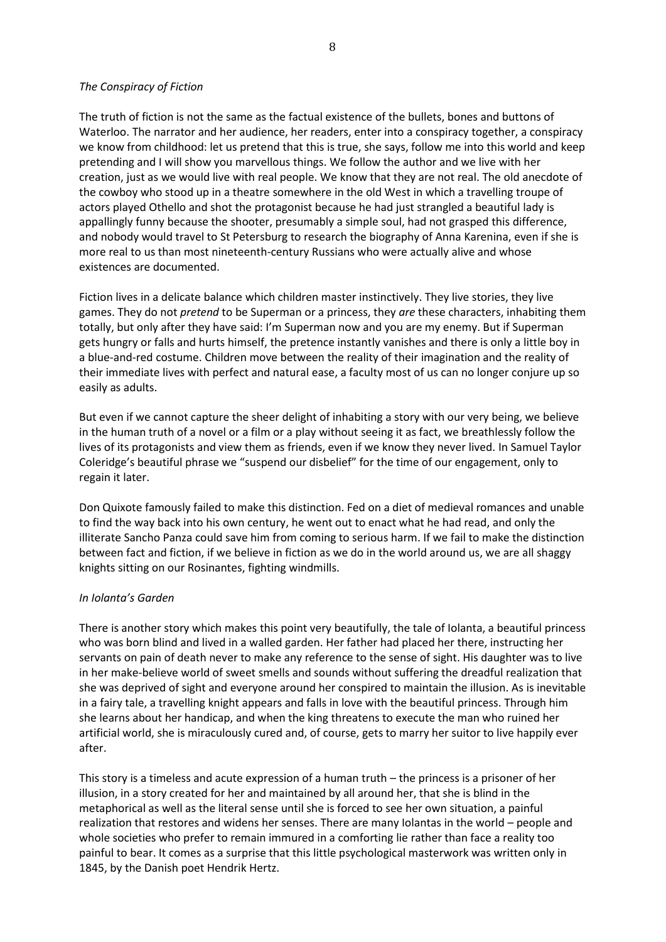#### *The Conspiracy of Fiction*

The truth of fiction is not the same as the factual existence of the bullets, bones and buttons of Waterloo. The narrator and her audience, her readers, enter into a conspiracy together, a conspiracy we know from childhood: let us pretend that this is true, she says, follow me into this world and keep pretending and I will show you marvellous things. We follow the author and we live with her creation, just as we would live with real people. We know that they are not real. The old anecdote of the cowboy who stood up in a theatre somewhere in the old West in which a travelling troupe of actors played Othello and shot the protagonist because he had just strangled a beautiful lady is appallingly funny because the shooter, presumably a simple soul, had not grasped this difference, and nobody would travel to St Petersburg to research the biography of Anna Karenina, even if she is more real to us than most nineteenth-century Russians who were actually alive and whose existences are documented.

Fiction lives in a delicate balance which children master instinctively. They live stories, they live games. They do not *pretend* to be Superman or a princess, they *are* these characters, inhabiting them totally, but only after they have said: I'm Superman now and you are my enemy. But if Superman gets hungry or falls and hurts himself, the pretence instantly vanishes and there is only a little boy in a blue-and-red costume. Children move between the reality of their imagination and the reality of their immediate lives with perfect and natural ease, a faculty most of us can no longer conjure up so easily as adults.

But even if we cannot capture the sheer delight of inhabiting a story with our very being, we believe in the human truth of a novel or a film or a play without seeing it as fact, we breathlessly follow the lives of its protagonists and view them as friends, even if we know they never lived. In Samuel Taylor Coleridge's beautiful phrase we "suspend our disbelief" for the time of our engagement, only to regain it later.

Don Quixote famously failed to make this distinction. Fed on a diet of medieval romances and unable to find the way back into his own century, he went out to enact what he had read, and only the illiterate Sancho Panza could save him from coming to serious harm. If we fail to make the distinction between fact and fiction, if we believe in fiction as we do in the world around us, we are all shaggy knights sitting on our Rosinantes, fighting windmills.

# *In Iolanta's Garden*

There is another story which makes this point very beautifully, the tale of Iolanta, a beautiful princess who was born blind and lived in a walled garden. Her father had placed her there, instructing her servants on pain of death never to make any reference to the sense of sight. His daughter was to live in her make-believe world of sweet smells and sounds without suffering the dreadful realization that she was deprived of sight and everyone around her conspired to maintain the illusion. As is inevitable in a fairy tale, a travelling knight appears and falls in love with the beautiful princess. Through him she learns about her handicap, and when the king threatens to execute the man who ruined her artificial world, she is miraculously cured and, of course, gets to marry her suitor to live happily ever after.

This story is a timeless and acute expression of a human truth – the princess is a prisoner of her illusion, in a story created for her and maintained by all around her, that she is blind in the metaphorical as well as the literal sense until she is forced to see her own situation, a painful realization that restores and widens her senses. There are many Iolantas in the world – people and whole societies who prefer to remain immured in a comforting lie rather than face a reality too painful to bear. It comes as a surprise that this little psychological masterwork was written only in 1845, by the Danish poet Hendrik Hertz.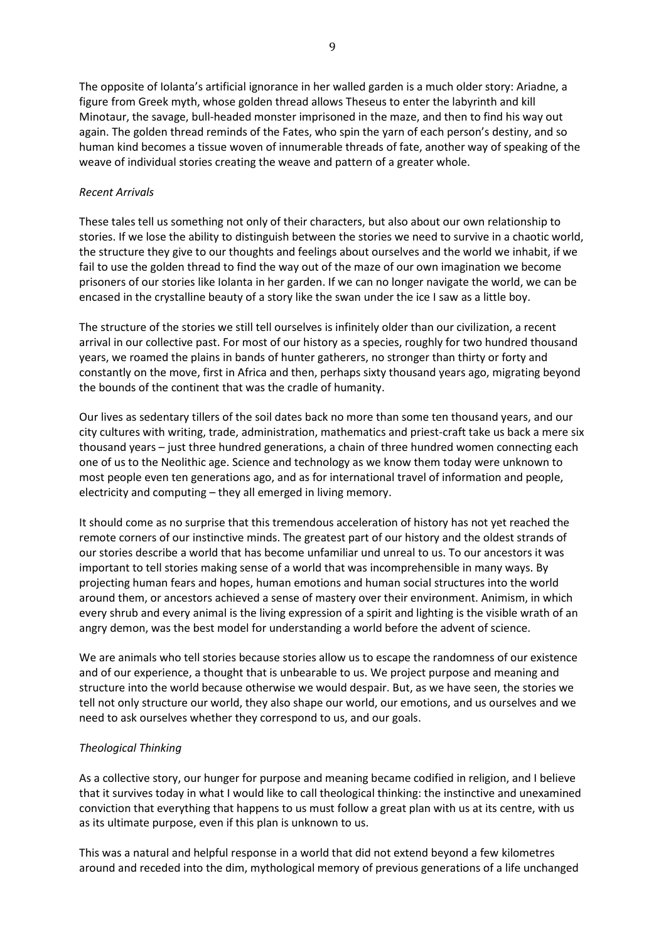The opposite of Iolanta's artificial ignorance in her walled garden is a much older story: Ariadne, a figure from Greek myth, whose golden thread allows Theseus to enter the labyrinth and kill Minotaur, the savage, bull-headed monster imprisoned in the maze, and then to find his way out again. The golden thread reminds of the Fates, who spin the yarn of each person's destiny, and so human kind becomes a tissue woven of innumerable threads of fate, another way of speaking of the weave of individual stories creating the weave and pattern of a greater whole.

# *Recent Arrivals*

These tales tell us something not only of their characters, but also about our own relationship to stories. If we lose the ability to distinguish between the stories we need to survive in a chaotic world, the structure they give to our thoughts and feelings about ourselves and the world we inhabit, if we fail to use the golden thread to find the way out of the maze of our own imagination we become prisoners of our stories like Iolanta in her garden. If we can no longer navigate the world, we can be encased in the crystalline beauty of a story like the swan under the ice I saw as a little boy.

The structure of the stories we still tell ourselves is infinitely older than our civilization, a recent arrival in our collective past. For most of our history as a species, roughly for two hundred thousand years, we roamed the plains in bands of hunter gatherers, no stronger than thirty or forty and constantly on the move, first in Africa and then, perhaps sixty thousand years ago, migrating beyond the bounds of the continent that was the cradle of humanity.

Our lives as sedentary tillers of the soil dates back no more than some ten thousand years, and our city cultures with writing, trade, administration, mathematics and priest-craft take us back a mere six thousand years – just three hundred generations, a chain of three hundred women connecting each one of us to the Neolithic age. Science and technology as we know them today were unknown to most people even ten generations ago, and as for international travel of information and people, electricity and computing – they all emerged in living memory.

It should come as no surprise that this tremendous acceleration of history has not yet reached the remote corners of our instinctive minds. The greatest part of our history and the oldest strands of our stories describe a world that has become unfamiliar und unreal to us. To our ancestors it was important to tell stories making sense of a world that was incomprehensible in many ways. By projecting human fears and hopes, human emotions and human social structures into the world around them, or ancestors achieved a sense of mastery over their environment. Animism, in which every shrub and every animal is the living expression of a spirit and lighting is the visible wrath of an angry demon, was the best model for understanding a world before the advent of science.

We are animals who tell stories because stories allow us to escape the randomness of our existence and of our experience, a thought that is unbearable to us. We project purpose and meaning and structure into the world because otherwise we would despair. But, as we have seen, the stories we tell not only structure our world, they also shape our world, our emotions, and us ourselves and we need to ask ourselves whether they correspond to us, and our goals.

# *Theological Thinking*

As a collective story, our hunger for purpose and meaning became codified in religion, and I believe that it survives today in what I would like to call theological thinking: the instinctive and unexamined conviction that everything that happens to us must follow a great plan with us at its centre, with us as its ultimate purpose, even if this plan is unknown to us.

This was a natural and helpful response in a world that did not extend beyond a few kilometres around and receded into the dim, mythological memory of previous generations of a life unchanged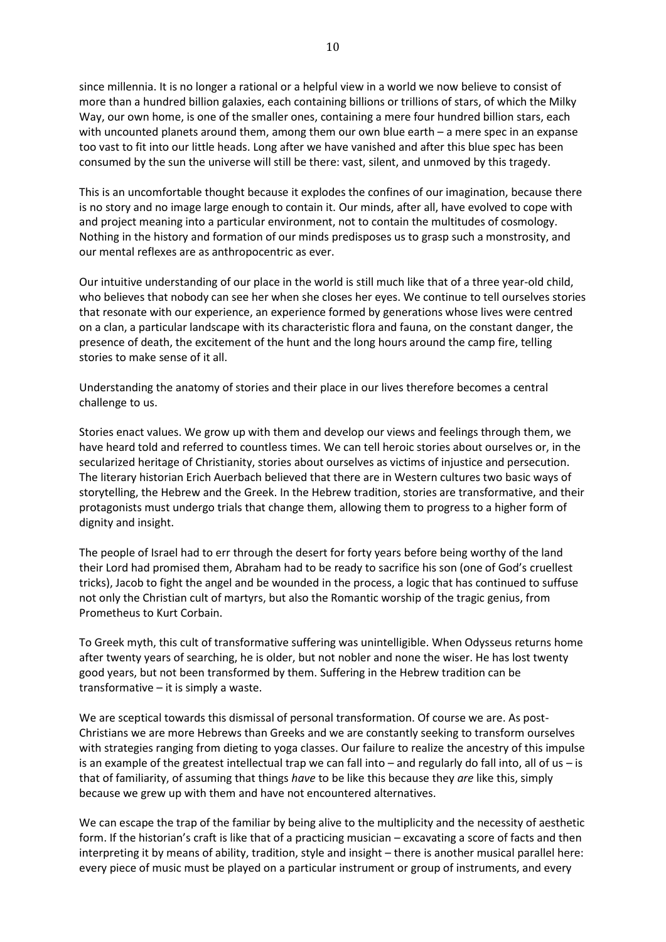since millennia. It is no longer a rational or a helpful view in a world we now believe to consist of more than a hundred billion galaxies, each containing billions or trillions of stars, of which the Milky Way, our own home, is one of the smaller ones, containing a mere four hundred billion stars, each with uncounted planets around them, among them our own blue earth – a mere spec in an expanse too vast to fit into our little heads. Long after we have vanished and after this blue spec has been consumed by the sun the universe will still be there: vast, silent, and unmoved by this tragedy.

This is an uncomfortable thought because it explodes the confines of our imagination, because there is no story and no image large enough to contain it. Our minds, after all, have evolved to cope with and project meaning into a particular environment, not to contain the multitudes of cosmology. Nothing in the history and formation of our minds predisposes us to grasp such a monstrosity, and our mental reflexes are as anthropocentric as ever.

Our intuitive understanding of our place in the world is still much like that of a three year-old child, who believes that nobody can see her when she closes her eyes. We continue to tell ourselves stories that resonate with our experience, an experience formed by generations whose lives were centred on a clan, a particular landscape with its characteristic flora and fauna, on the constant danger, the presence of death, the excitement of the hunt and the long hours around the camp fire, telling stories to make sense of it all.

Understanding the anatomy of stories and their place in our lives therefore becomes a central challenge to us.

Stories enact values. We grow up with them and develop our views and feelings through them, we have heard told and referred to countless times. We can tell heroic stories about ourselves or, in the secularized heritage of Christianity, stories about ourselves as victims of injustice and persecution. The literary historian Erich Auerbach believed that there are in Western cultures two basic ways of storytelling, the Hebrew and the Greek. In the Hebrew tradition, stories are transformative, and their protagonists must undergo trials that change them, allowing them to progress to a higher form of dignity and insight.

The people of Israel had to err through the desert for forty years before being worthy of the land their Lord had promised them, Abraham had to be ready to sacrifice his son (one of God's cruellest tricks), Jacob to fight the angel and be wounded in the process, a logic that has continued to suffuse not only the Christian cult of martyrs, but also the Romantic worship of the tragic genius, from Prometheus to Kurt Corbain.

To Greek myth, this cult of transformative suffering was unintelligible. When Odysseus returns home after twenty years of searching, he is older, but not nobler and none the wiser. He has lost twenty good years, but not been transformed by them. Suffering in the Hebrew tradition can be transformative – it is simply a waste.

We are sceptical towards this dismissal of personal transformation. Of course we are. As post-Christians we are more Hebrews than Greeks and we are constantly seeking to transform ourselves with strategies ranging from dieting to yoga classes. Our failure to realize the ancestry of this impulse is an example of the greatest intellectual trap we can fall into  $-$  and regularly do fall into, all of us  $-$  is that of familiarity, of assuming that things *have* to be like this because they *are* like this, simply because we grew up with them and have not encountered alternatives.

We can escape the trap of the familiar by being alive to the multiplicity and the necessity of aesthetic form. If the historian's craft is like that of a practicing musician – excavating a score of facts and then interpreting it by means of ability, tradition, style and insight – there is another musical parallel here: every piece of music must be played on a particular instrument or group of instruments, and every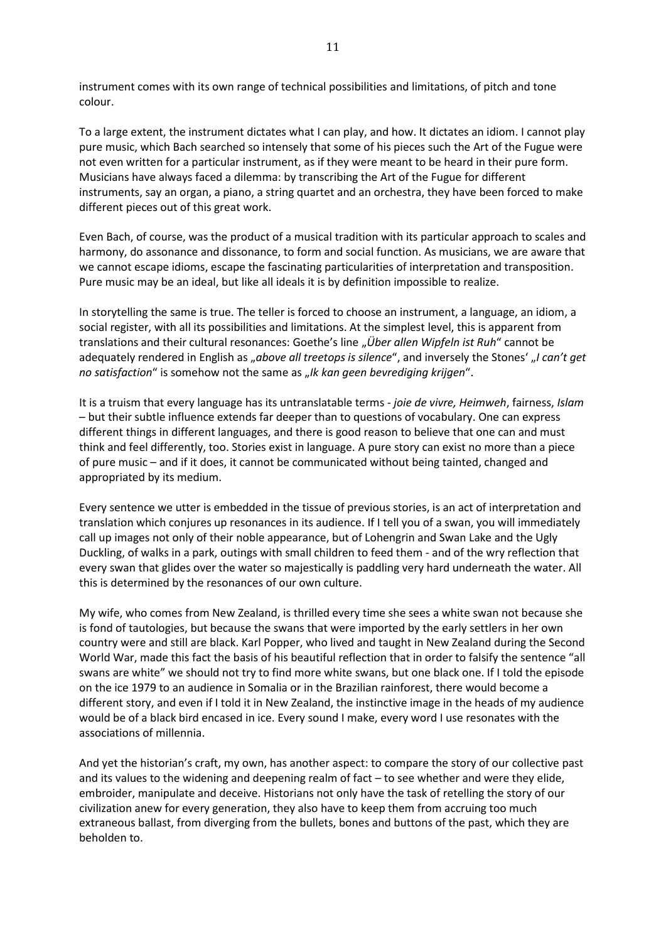instrument comes with its own range of technical possibilities and limitations, of pitch and tone colour.

To a large extent, the instrument dictates what I can play, and how. It dictates an idiom. I cannot play pure music, which Bach searched so intensely that some of his pieces such the Art of the Fugue were not even written for a particular instrument, as if they were meant to be heard in their pure form. Musicians have always faced a dilemma: by transcribing the Art of the Fugue for different instruments, say an organ, a piano, a string quartet and an orchestra, they have been forced to make different pieces out of this great work.

Even Bach, of course, was the product of a musical tradition with its particular approach to scales and harmony, do assonance and dissonance, to form and social function. As musicians, we are aware that we cannot escape idioms, escape the fascinating particularities of interpretation and transposition. Pure music may be an ideal, but like all ideals it is by definition impossible to realize.

In storytelling the same is true. The teller is forced to choose an instrument, a language, an idiom, a social register, with all its possibilities and limitations. At the simplest level, this is apparent from translations and their cultural resonances: Goethe's line "*Über allen Wipfeln ist Ruh*" cannot be adequately rendered in English as "*above all treetops is silence*", and inversely the Stones' "*I can't get no satisfaction*" is somehow not the same as "Ik kan geen bevrediging krijgen".

It is a truism that every language has its untranslatable terms *- joie de vivre, Heimweh*, fairness, *Islam* – but their subtle influence extends far deeper than to questions of vocabulary. One can express different things in different languages, and there is good reason to believe that one can and must think and feel differently, too. Stories exist in language. A pure story can exist no more than a piece of pure music – and if it does, it cannot be communicated without being tainted, changed and appropriated by its medium.

Every sentence we utter is embedded in the tissue of previous stories, is an act of interpretation and translation which conjures up resonances in its audience. If I tell you of a swan, you will immediately call up images not only of their noble appearance, but of Lohengrin and Swan Lake and the Ugly Duckling, of walks in a park, outings with small children to feed them - and of the wry reflection that every swan that glides over the water so majestically is paddling very hard underneath the water. All this is determined by the resonances of our own culture.

My wife, who comes from New Zealand, is thrilled every time she sees a white swan not because she is fond of tautologies, but because the swans that were imported by the early settlers in her own country were and still are black. Karl Popper, who lived and taught in New Zealand during the Second World War, made this fact the basis of his beautiful reflection that in order to falsify the sentence "all swans are white" we should not try to find more white swans, but one black one. If I told the episode on the ice 1979 to an audience in Somalia or in the Brazilian rainforest, there would become a different story, and even if I told it in New Zealand, the instinctive image in the heads of my audience would be of a black bird encased in ice. Every sound I make, every word I use resonates with the associations of millennia.

And yet the historian's craft, my own, has another aspect: to compare the story of our collective past and its values to the widening and deepening realm of fact – to see whether and were they elide, embroider, manipulate and deceive. Historians not only have the task of retelling the story of our civilization anew for every generation, they also have to keep them from accruing too much extraneous ballast, from diverging from the bullets, bones and buttons of the past, which they are beholden to.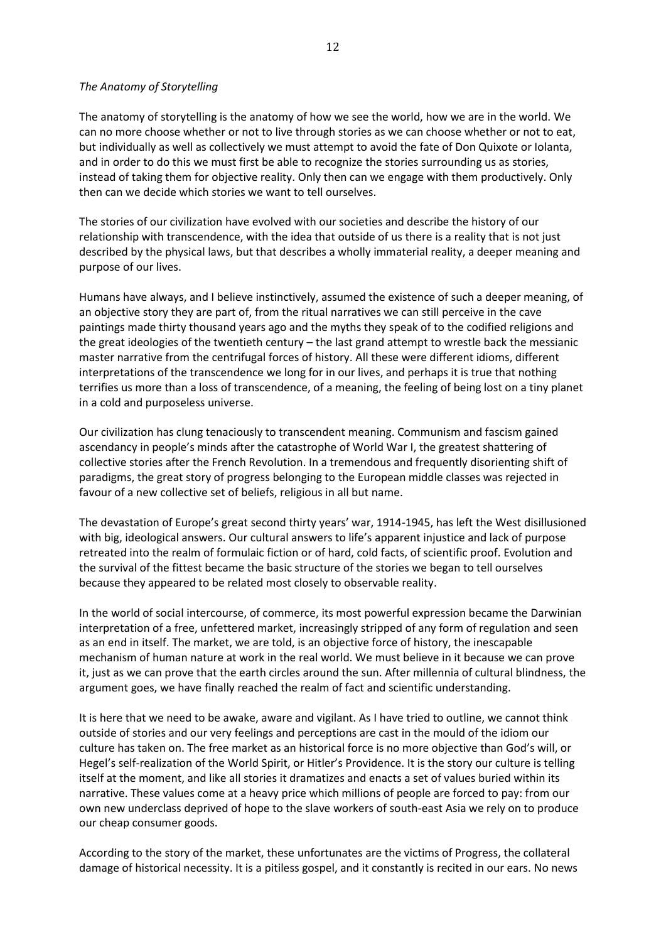#### *The Anatomy of Storytelling*

The anatomy of storytelling is the anatomy of how we see the world, how we are in the world. We can no more choose whether or not to live through stories as we can choose whether or not to eat, but individually as well as collectively we must attempt to avoid the fate of Don Quixote or Iolanta, and in order to do this we must first be able to recognize the stories surrounding us as stories, instead of taking them for objective reality. Only then can we engage with them productively. Only then can we decide which stories we want to tell ourselves.

The stories of our civilization have evolved with our societies and describe the history of our relationship with transcendence, with the idea that outside of us there is a reality that is not just described by the physical laws, but that describes a wholly immaterial reality, a deeper meaning and purpose of our lives.

Humans have always, and I believe instinctively, assumed the existence of such a deeper meaning, of an objective story they are part of, from the ritual narratives we can still perceive in the cave paintings made thirty thousand years ago and the myths they speak of to the codified religions and the great ideologies of the twentieth century – the last grand attempt to wrestle back the messianic master narrative from the centrifugal forces of history. All these were different idioms, different interpretations of the transcendence we long for in our lives, and perhaps it is true that nothing terrifies us more than a loss of transcendence, of a meaning, the feeling of being lost on a tiny planet in a cold and purposeless universe.

Our civilization has clung tenaciously to transcendent meaning. Communism and fascism gained ascendancy in people's minds after the catastrophe of World War I, the greatest shattering of collective stories after the French Revolution. In a tremendous and frequently disorienting shift of paradigms, the great story of progress belonging to the European middle classes was rejected in favour of a new collective set of beliefs, religious in all but name.

The devastation of Europe's great second thirty years' war, 1914-1945, has left the West disillusioned with big, ideological answers. Our cultural answers to life's apparent injustice and lack of purpose retreated into the realm of formulaic fiction or of hard, cold facts, of scientific proof. Evolution and the survival of the fittest became the basic structure of the stories we began to tell ourselves because they appeared to be related most closely to observable reality.

In the world of social intercourse, of commerce, its most powerful expression became the Darwinian interpretation of a free, unfettered market, increasingly stripped of any form of regulation and seen as an end in itself. The market, we are told, is an objective force of history, the inescapable mechanism of human nature at work in the real world. We must believe in it because we can prove it, just as we can prove that the earth circles around the sun. After millennia of cultural blindness, the argument goes, we have finally reached the realm of fact and scientific understanding.

It is here that we need to be awake, aware and vigilant. As I have tried to outline, we cannot think outside of stories and our very feelings and perceptions are cast in the mould of the idiom our culture has taken on. The free market as an historical force is no more objective than God's will, or Hegel's self-realization of the World Spirit, or Hitler's Providence. It is the story our culture is telling itself at the moment, and like all stories it dramatizes and enacts a set of values buried within its narrative. These values come at a heavy price which millions of people are forced to pay: from our own new underclass deprived of hope to the slave workers of south-east Asia we rely on to produce our cheap consumer goods.

According to the story of the market, these unfortunates are the victims of Progress, the collateral damage of historical necessity. It is a pitiless gospel, and it constantly is recited in our ears. No news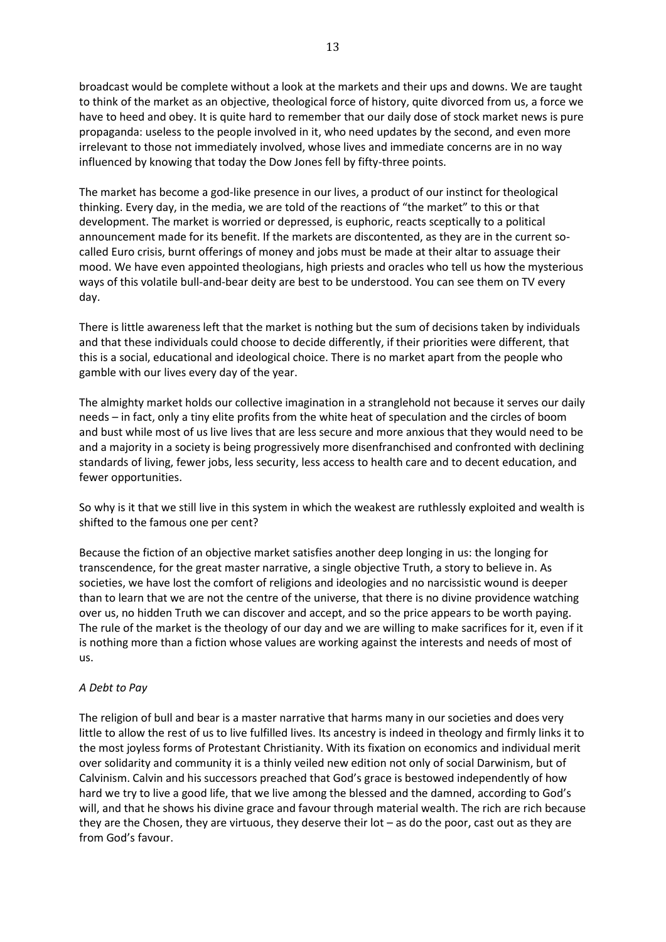broadcast would be complete without a look at the markets and their ups and downs. We are taught to think of the market as an objective, theological force of history, quite divorced from us, a force we have to heed and obey. It is quite hard to remember that our daily dose of stock market news is pure propaganda: useless to the people involved in it, who need updates by the second, and even more irrelevant to those not immediately involved, whose lives and immediate concerns are in no way influenced by knowing that today the Dow Jones fell by fifty-three points.

The market has become a god-like presence in our lives, a product of our instinct for theological thinking. Every day, in the media, we are told of the reactions of "the market" to this or that development. The market is worried or depressed, is euphoric, reacts sceptically to a political announcement made for its benefit. If the markets are discontented, as they are in the current socalled Euro crisis, burnt offerings of money and jobs must be made at their altar to assuage their mood. We have even appointed theologians, high priests and oracles who tell us how the mysterious ways of this volatile bull-and-bear deity are best to be understood. You can see them on TV every day.

There is little awareness left that the market is nothing but the sum of decisions taken by individuals and that these individuals could choose to decide differently, if their priorities were different, that this is a social, educational and ideological choice. There is no market apart from the people who gamble with our lives every day of the year.

The almighty market holds our collective imagination in a stranglehold not because it serves our daily needs – in fact, only a tiny elite profits from the white heat of speculation and the circles of boom and bust while most of us live lives that are less secure and more anxious that they would need to be and a majority in a society is being progressively more disenfranchised and confronted with declining standards of living, fewer jobs, less security, less access to health care and to decent education, and fewer opportunities.

So why is it that we still live in this system in which the weakest are ruthlessly exploited and wealth is shifted to the famous one per cent?

Because the fiction of an objective market satisfies another deep longing in us: the longing for transcendence, for the great master narrative, a single objective Truth, a story to believe in. As societies, we have lost the comfort of religions and ideologies and no narcissistic wound is deeper than to learn that we are not the centre of the universe, that there is no divine providence watching over us, no hidden Truth we can discover and accept, and so the price appears to be worth paying. The rule of the market is the theology of our day and we are willing to make sacrifices for it, even if it is nothing more than a fiction whose values are working against the interests and needs of most of us.

# *A Debt to Pay*

The religion of bull and bear is a master narrative that harms many in our societies and does very little to allow the rest of us to live fulfilled lives. Its ancestry is indeed in theology and firmly links it to the most joyless forms of Protestant Christianity. With its fixation on economics and individual merit over solidarity and community it is a thinly veiled new edition not only of social Darwinism, but of Calvinism. Calvin and his successors preached that God's grace is bestowed independently of how hard we try to live a good life, that we live among the blessed and the damned, according to God's will, and that he shows his divine grace and favour through material wealth. The rich are rich because they are the Chosen, they are virtuous, they deserve their lot – as do the poor, cast out as they are from God's favour.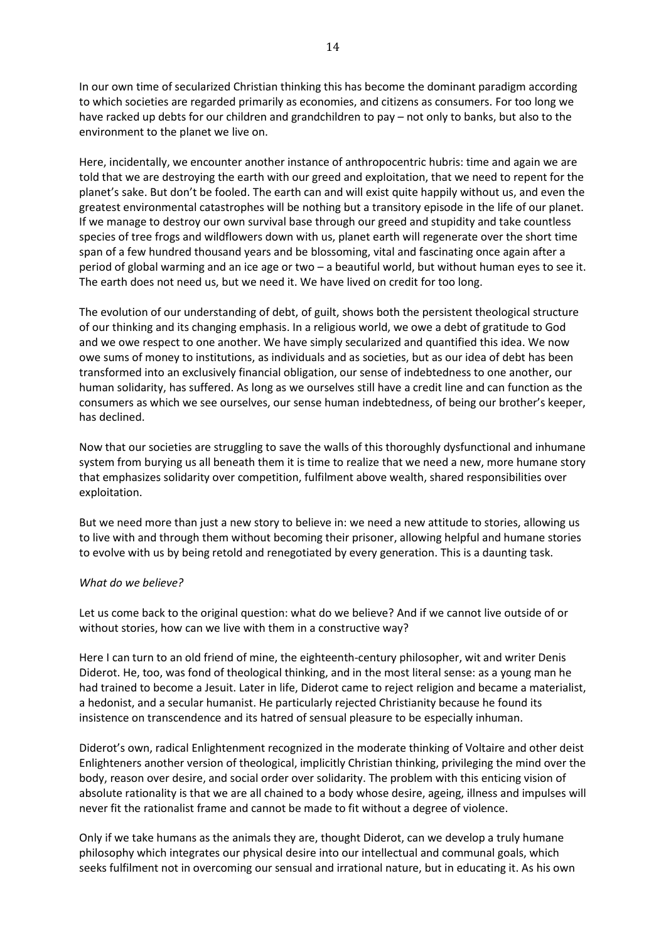In our own time of secularized Christian thinking this has become the dominant paradigm according to which societies are regarded primarily as economies, and citizens as consumers. For too long we have racked up debts for our children and grandchildren to pay – not only to banks, but also to the environment to the planet we live on.

Here, incidentally, we encounter another instance of anthropocentric hubris: time and again we are told that we are destroying the earth with our greed and exploitation, that we need to repent for the planet's sake. But don't be fooled. The earth can and will exist quite happily without us, and even the greatest environmental catastrophes will be nothing but a transitory episode in the life of our planet. If we manage to destroy our own survival base through our greed and stupidity and take countless species of tree frogs and wildflowers down with us, planet earth will regenerate over the short time span of a few hundred thousand years and be blossoming, vital and fascinating once again after a period of global warming and an ice age or two – a beautiful world, but without human eyes to see it. The earth does not need us, but we need it. We have lived on credit for too long.

The evolution of our understanding of debt, of guilt, shows both the persistent theological structure of our thinking and its changing emphasis. In a religious world, we owe a debt of gratitude to God and we owe respect to one another. We have simply secularized and quantified this idea. We now owe sums of money to institutions, as individuals and as societies, but as our idea of debt has been transformed into an exclusively financial obligation, our sense of indebtedness to one another, our human solidarity, has suffered. As long as we ourselves still have a credit line and can function as the consumers as which we see ourselves, our sense human indebtedness, of being our brother's keeper, has declined.

Now that our societies are struggling to save the walls of this thoroughly dysfunctional and inhumane system from burying us all beneath them it is time to realize that we need a new, more humane story that emphasizes solidarity over competition, fulfilment above wealth, shared responsibilities over exploitation.

But we need more than just a new story to believe in: we need a new attitude to stories, allowing us to live with and through them without becoming their prisoner, allowing helpful and humane stories to evolve with us by being retold and renegotiated by every generation. This is a daunting task.

#### *What do we believe?*

Let us come back to the original question: what do we believe? And if we cannot live outside of or without stories, how can we live with them in a constructive way?

Here I can turn to an old friend of mine, the eighteenth-century philosopher, wit and writer Denis Diderot. He, too, was fond of theological thinking, and in the most literal sense: as a young man he had trained to become a Jesuit. Later in life, Diderot came to reject religion and became a materialist, a hedonist, and a secular humanist. He particularly rejected Christianity because he found its insistence on transcendence and its hatred of sensual pleasure to be especially inhuman.

Diderot's own, radical Enlightenment recognized in the moderate thinking of Voltaire and other deist Enlighteners another version of theological, implicitly Christian thinking, privileging the mind over the body, reason over desire, and social order over solidarity. The problem with this enticing vision of absolute rationality is that we are all chained to a body whose desire, ageing, illness and impulses will never fit the rationalist frame and cannot be made to fit without a degree of violence.

Only if we take humans as the animals they are, thought Diderot, can we develop a truly humane philosophy which integrates our physical desire into our intellectual and communal goals, which seeks fulfilment not in overcoming our sensual and irrational nature, but in educating it. As his own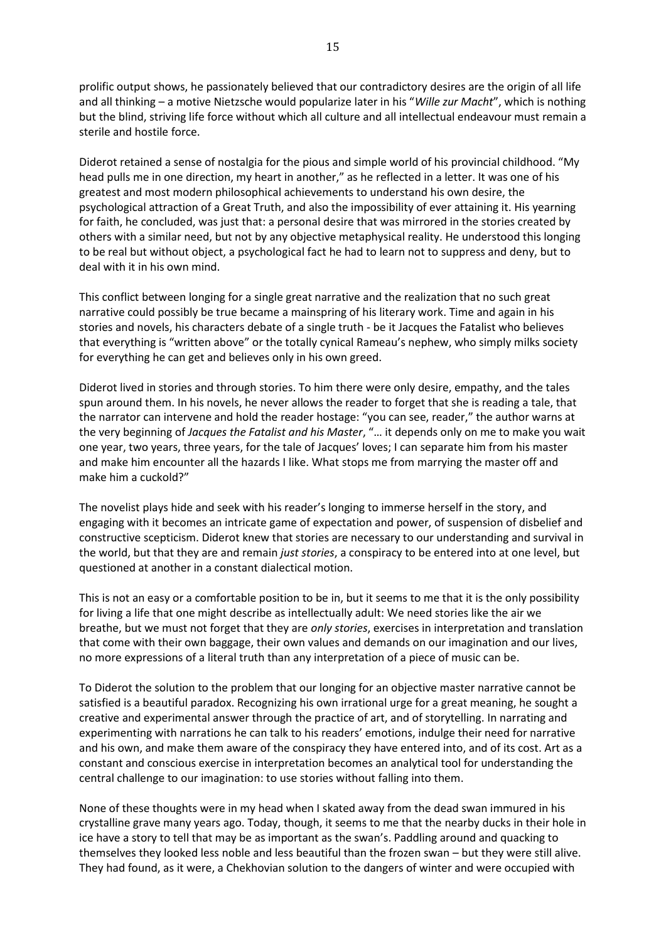prolific output shows, he passionately believed that our contradictory desires are the origin of all life and all thinking – a motive Nietzsche would popularize later in his "*Wille zur Macht*", which is nothing but the blind, striving life force without which all culture and all intellectual endeavour must remain a sterile and hostile force.

Diderot retained a sense of nostalgia for the pious and simple world of his provincial childhood. "My head pulls me in one direction, my heart in another," as he reflected in a letter. It was one of his greatest and most modern philosophical achievements to understand his own desire, the psychological attraction of a Great Truth, and also the impossibility of ever attaining it. His yearning for faith, he concluded, was just that: a personal desire that was mirrored in the stories created by others with a similar need, but not by any objective metaphysical reality. He understood this longing to be real but without object, a psychological fact he had to learn not to suppress and deny, but to deal with it in his own mind.

This conflict between longing for a single great narrative and the realization that no such great narrative could possibly be true became a mainspring of his literary work. Time and again in his stories and novels, his characters debate of a single truth - be it Jacques the Fatalist who believes that everything is "written above" or the totally cynical Rameau's nephew, who simply milks society for everything he can get and believes only in his own greed.

Diderot lived in stories and through stories. To him there were only desire, empathy, and the tales spun around them. In his novels, he never allows the reader to forget that she is reading a tale, that the narrator can intervene and hold the reader hostage: "you can see, reader," the author warns at the very beginning of *Jacques the Fatalist and his Master*, "… it depends only on me to make you wait one year, two years, three years, for the tale of Jacques' loves; I can separate him from his master and make him encounter all the hazards I like. What stops me from marrying the master off and make him a cuckold?"

The novelist plays hide and seek with his reader's longing to immerse herself in the story, and engaging with it becomes an intricate game of expectation and power, of suspension of disbelief and constructive scepticism. Diderot knew that stories are necessary to our understanding and survival in the world, but that they are and remain *just stories*, a conspiracy to be entered into at one level, but questioned at another in a constant dialectical motion.

This is not an easy or a comfortable position to be in, but it seems to me that it is the only possibility for living a life that one might describe as intellectually adult: We need stories like the air we breathe, but we must not forget that they are *only stories*, exercises in interpretation and translation that come with their own baggage, their own values and demands on our imagination and our lives, no more expressions of a literal truth than any interpretation of a piece of music can be.

To Diderot the solution to the problem that our longing for an objective master narrative cannot be satisfied is a beautiful paradox. Recognizing his own irrational urge for a great meaning, he sought a creative and experimental answer through the practice of art, and of storytelling. In narrating and experimenting with narrations he can talk to his readers' emotions, indulge their need for narrative and his own, and make them aware of the conspiracy they have entered into, and of its cost. Art as a constant and conscious exercise in interpretation becomes an analytical tool for understanding the central challenge to our imagination: to use stories without falling into them.

None of these thoughts were in my head when I skated away from the dead swan immured in his crystalline grave many years ago. Today, though, it seems to me that the nearby ducks in their hole in ice have a story to tell that may be as important as the swan's. Paddling around and quacking to themselves they looked less noble and less beautiful than the frozen swan – but they were still alive. They had found, as it were, a Chekhovian solution to the dangers of winter and were occupied with